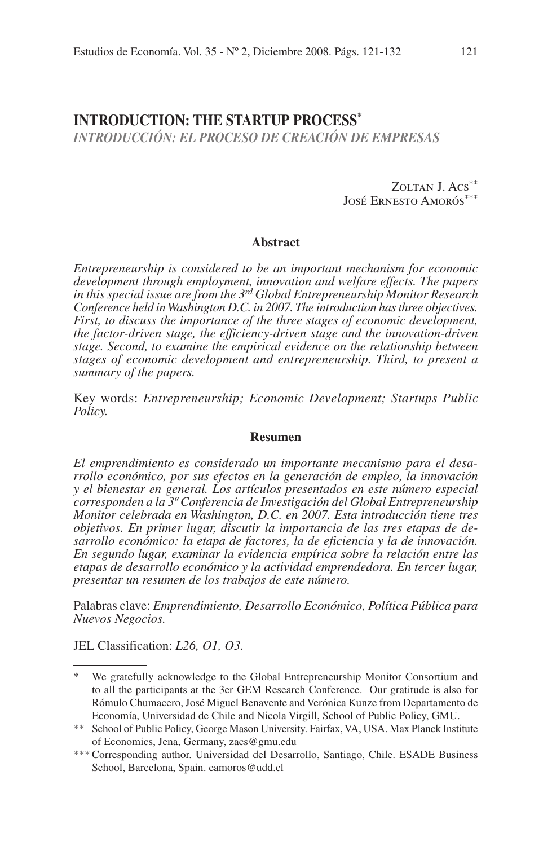# **Introduction: The Startup Process\*** *Introducción: El proceso de creación de empresas*

ZOLTAN J. ACS\*\* José Ernesto Amorós\*\*\*

### **Abstract**

*Entrepreneurship is considered to be an important mechanism for economic development through employment, innovation and welfare effects. The papers in this special issue are from the 3rd Global Entrepreneurship Monitor Research Conference held in Washington D.C. in 2007. The introduction has three objectives. First, to discuss the importance of the three stages of economic development, the factor-driven stage, the efficiency-driven stage and the innovation-driven stage. Second, to examine the empirical evidence on the relationship between stages of economic development and entrepreneurship. Third, to present a summary of the papers.*

Key words: *Entrepreneurship; Economic Development; Startups Public Policy.*

#### **Resumen**

*El emprendimiento es considerado un importante mecanismo para el desarrollo económico, por sus efectos en la generación de empleo, la innovación y el bienestar en general. Los artículos presentados en este número especial corresponden a la 3ª Conferencia de Investigación del Global Entrepreneurship Monitor celebrada en Washington, D.C. en 2007. Esta introducción tiene tres objetivos. En primer lugar, discutir la importancia de las tres etapas de desarrollo económico: la etapa de factores, la de eficiencia y la de innovación. En segundo lugar, examinar la evidencia empírica sobre la relación entre las etapas de desarrollo económico y la actividad emprendedora. En tercer lugar, presentar un resumen de los trabajos de este número.*

Palabras clave: *Emprendimiento, Desarrollo Económico, Política Pública para Nuevos Negocios.*

JEL Classification: *L26, O1, O3.*

We gratefully acknowledge to the Global Entrepreneurship Monitor Consortium and to all the participants at the 3er GEM Research Conference. Our gratitude is also for Rómulo Chumacero, José Miguel Benavente and Verónica Kunze from Departamento de Economía, Universidad de Chile and Nicola Virgill, School of Public Policy, GMU.

<sup>\*\*</sup> School of Public Policy, George Mason University. Fairfax,VA, USA. Max Planck Institute of Economics, Jena, Germany, zacs@gmu.edu

<sup>\*\*\*</sup> Corresponding author. Universidad del Desarrollo, Santiago, Chile. ESADE Business School, Barcelona, Spain. eamoros@udd.cl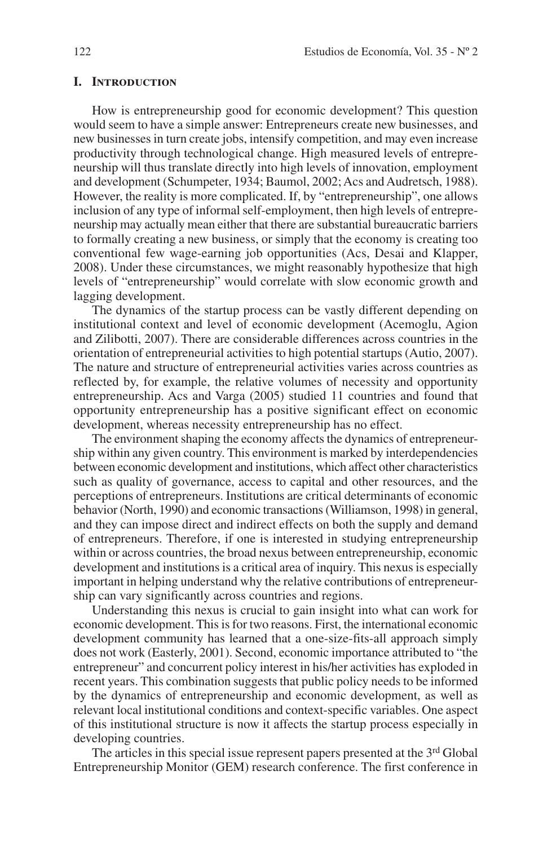# **I. Introduction**

How is entrepreneurship good for economic development? This question would seem to have a simple answer: Entrepreneurs create new businesses, and new businesses in turn create jobs, intensify competition, and may even increase productivity through technological change. High measured levels of entrepreneurship will thus translate directly into high levels of innovation, employment and development (Schumpeter, 1934; Baumol, 2002; Acs and Audretsch, 1988). However, the reality is more complicated. If, by "entrepreneurship", one allows inclusion of any type of informal self-employment, then high levels of entrepreneurship may actually mean either that there are substantial bureaucratic barriers to formally creating a new business, or simply that the economy is creating too conventional few wage-earning job opportunities (Acs, Desai and Klapper, 2008). Under these circumstances, we might reasonably hypothesize that high levels of "entrepreneurship" would correlate with slow economic growth and lagging development.

The dynamics of the startup process can be vastly different depending on institutional context and level of economic development (Acemoglu, Agion and Zilibotti, 2007). There are considerable differences across countries in the orientation of entrepreneurial activities to high potential startups (Autio, 2007). The nature and structure of entrepreneurial activities varies across countries as reflected by, for example, the relative volumes of necessity and opportunity entrepreneurship. Acs and Varga (2005) studied 11 countries and found that opportunity entrepreneurship has a positive significant effect on economic development, whereas necessity entrepreneurship has no effect.

The environment shaping the economy affects the dynamics of entrepreneurship within any given country. This environment is marked by interdependencies between economic development and institutions, which affect other characteristics such as quality of governance, access to capital and other resources, and the perceptions of entrepreneurs. Institutions are critical determinants of economic behavior (North, 1990) and economic transactions(Williamson, 1998) in general, and they can impose direct and indirect effects on both the supply and demand of entrepreneurs. Therefore, if one is interested in studying entrepreneurship within or across countries, the broad nexus between entrepreneurship, economic development and institutions is a critical area of inquiry. This nexus is especially important in helping understand why the relative contributions of entrepreneurship can vary significantly across countries and regions.

Understanding this nexus is crucial to gain insight into what can work for economic development. This is for two reasons. First, the international economic development community has learned that a one-size-fits-all approach simply does not work (Easterly, 2001). Second, economic importance attributed to "the entrepreneur" and concurrent policy interest in his/her activities has exploded in recent years. This combination suggests that public policy needs to be informed by the dynamics of entrepreneurship and economic development, as well as relevant local institutional conditions and context-specific variables. One aspect of this institutional structure is now it affects the startup process especially in developing countries.

The articles in this special issue represent papers presented at the 3rd Global Entrepreneurship Monitor (GEM) research conference. The first conference in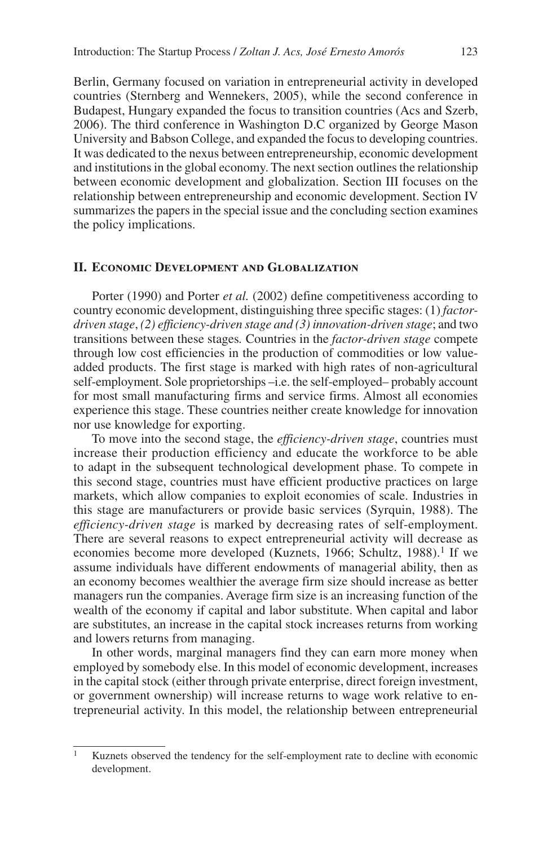Berlin, Germany focused on variation in entrepreneurial activity in developed countries (Sternberg and Wennekers, 2005), while the second conference in Budapest, Hungary expanded the focus to transition countries (Acs and Szerb, 2006). The third conference in Washington D.C organized by George Mason University and Babson College, and expanded the focus to developing countries. It was dedicated to the nexus between entrepreneurship, economic development and institutions in the global economy. The next section outlines the relationship between economic development and globalization. Section III focuses on the relationship between entrepreneurship and economic development. Section IV summarizes the papers in the special issue and the concluding section examines the policy implications.

# **II. Economic Development and Globalization**

Porter (1990) and Porter *et al.* (2002) define competitiveness according to country economic development, distinguishing three specific stages: (1) *factordriven stage*, *(2) efficiency-driven stage and (3) innovation-driven stage*; and two transitions between these stages*.* Countries in the *factor-driven stage* compete through low cost efficiencies in the production of commodities or low valueadded products. The first stage is marked with high rates of non-agricultural self-employment. Sole proprietorships –i.e. the self-employed– probably account for most small manufacturing firms and service firms. Almost all economies experience this stage. These countries neither create knowledge for innovation nor use knowledge for exporting.

To move into the second stage, the *efficiency-driven stage*, countries must increase their production efficiency and educate the workforce to be able to adapt in the subsequent technological development phase. To compete in this second stage, countries must have efficient productive practices on large markets, which allow companies to exploit economies of scale. Industries in this stage are manufacturers or provide basic services (Syrquin, 1988). The *efficiency-driven stage* is marked by decreasing rates of self-employment. There are several reasons to expect entrepreneurial activity will decrease as economies become more developed (Kuznets, 1966; Schultz, 1988).<sup>1</sup> If we assume individuals have different endowments of managerial ability, then as an economy becomes wealthier the average firm size should increase as better managers run the companies. Average firm size is an increasing function of the wealth of the economy if capital and labor substitute. When capital and labor are substitutes, an increase in the capital stock increases returns from working and lowers returns from managing.

In other words, marginal managers find they can earn more money when employed by somebody else. In this model of economic development, increases in the capital stock (either through private enterprise, direct foreign investment, or government ownership) will increase returns to wage work relative to entrepreneurial activity. In this model, the relationship between entrepreneurial

<sup>&</sup>lt;sup>1</sup> Kuznets observed the tendency for the self-employment rate to decline with economic development.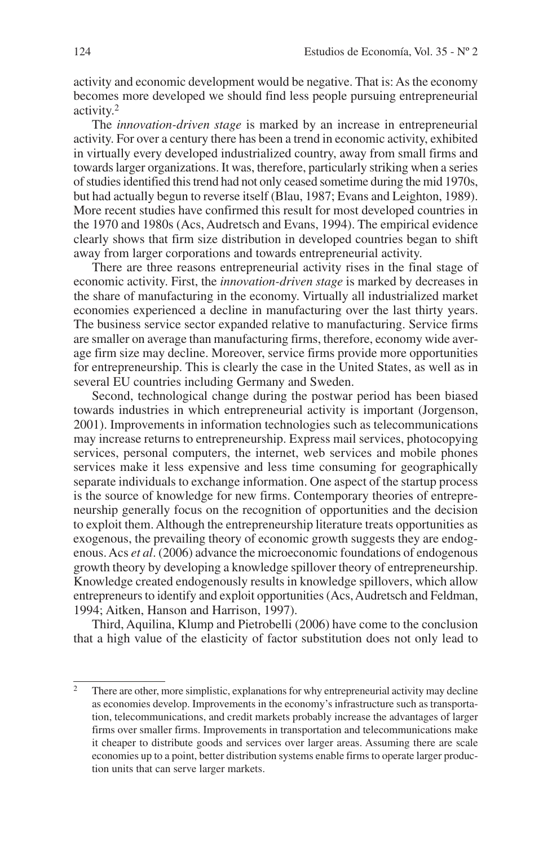activity and economic development would be negative. That is:As the economy becomes more developed we should find less people pursuing entrepreneurial activity.2

The *innovation-driven stage* is marked by an increase in entrepreneurial activity. For over a century there has been a trend in economic activity, exhibited in virtually every developed industrialized country, away from small firms and towardslarger organizations. It was, therefore, particularly striking when a series of studies identified this trend had not only ceased sometime during the mid 1970s, but had actually begun to reverse itself (Blau, 1987; Evans and Leighton, 1989). More recent studies have confirmed this result for most developed countries in the 1970 and 1980s (Acs, Audretsch and Evans, 1994). The empirical evidence clearly shows that firm size distribution in developed countries began to shift away from larger corporations and towards entrepreneurial activity.

There are three reasons entrepreneurial activity rises in the final stage of economic activity. First, the *innovation-driven stage* is marked by decreases in the share of manufacturing in the economy. Virtually all industrialized market economies experienced a decline in manufacturing over the last thirty years. The business service sector expanded relative to manufacturing. Service firms are smaller on average than manufacturing firms, therefore, economy wide average firm size may decline. Moreover, service firms provide more opportunities for entrepreneurship. This is clearly the case in the United States, as well as in several EU countries including Germany and Sweden.

Second, technological change during the postwar period has been biased towards industries in which entrepreneurial activity is important (Jorgenson, 2001). Improvements in information technologies such as telecommunications may increase returns to entrepreneurship. Express mail services, photocopying services, personal computers, the internet, web services and mobile phones services make it less expensive and less time consuming for geographically separate individuals to exchange information. One aspect of the startup process is the source of knowledge for new firms. Contemporary theories of entrepreneurship generally focus on the recognition of opportunities and the decision to exploit them. Although the entrepreneurship literature treats opportunities as exogenous, the prevailing theory of economic growth suggests they are endogenous.Acs *et al*. (2006) advance the microeconomic foundations of endogenous growth theory by developing a knowledge spillover theory of entrepreneurship. Knowledge created endogenously results in knowledge spillovers, which allow entrepreneurs to identify and exploit opportunities (Acs, Audretsch and Feldman, 1994; Aitken, Hanson and Harrison, 1997).

Third, Aquilina, Klump and Pietrobelli (2006) have come to the conclusion that a high value of the elasticity of factor substitution does not only lead to

<sup>&</sup>lt;sup>2</sup> There are other, more simplistic, explanations for why entrepreneurial activity may decline as economies develop. Improvements in the economy's infrastructure such as transportation, telecommunications, and credit markets probably increase the advantages of larger firms over smaller firms. Improvements in transportation and telecommunications make it cheaper to distribute goods and services over larger areas. Assuming there are scale economies up to a point, better distribution systems enable firmsto operate larger production units that can serve larger markets.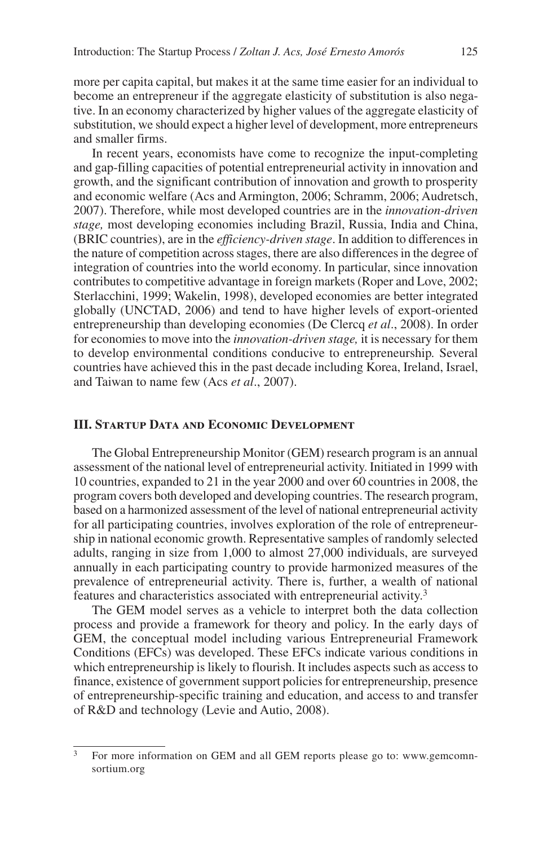more per capita capital, but makes it at the same time easier for an individual to become an entrepreneur if the aggregate elasticity of substitution is also negative. In an economy characterized by higher values of the aggregate elasticity of substitution, we should expect a higher level of development, more entrepreneurs and smaller firms.

In recent years, economists have come to recognize the input-completing and gap-filling capacities of potential entrepreneurial activity in innovation and growth, and the significant contribution of innovation and growth to prosperity and economic welfare (Acs and Armington, 2006; Schramm, 2006; Audretsch, 2007). Therefore, while most developed countries are in the *innovation-driven stage,* most developing economies including Brazil, Russia, India and China, (BRIC countries), are in the *efficiency-driven stage*. In addition to differences in the nature of competition across stages, there are also differences in the degree of integration of countries into the world economy. In particular, since innovation contributes to competitive advantage in foreign markets (Roper and Love, 2002; Sterlacchini, 1999; Wakelin, 1998), developed economies are better integrated globally (UNCTAD, 2006) and tend to have higher levels of export-oriented entrepreneurship than developing economies (De Clercq *et al*., 2008). In order for economies to move into the *innovation-driven stage,* it is necessary for them to develop environmental conditions conducive to entrepreneurship*.* Several countries have achieved this in the past decade including Korea, Ireland, Israel, and Taiwan to name few (Acs *et al*., 2007).

### **III. Startup Data and Economic Development**

The Global Entrepreneurship Monitor (GEM) research program is an annual assessment of the national level of entrepreneurial activity. Initiated in 1999 with 10 countries, expanded to 21 in the year 2000 and over 60 countries in 2008, the program covers both developed and developing countries. The research program, based on a harmonized assessment of the level of national entrepreneurial activity for all participating countries, involves exploration of the role of entrepreneurship in national economic growth. Representative samples of randomly selected adults, ranging in size from 1,000 to almost 27,000 individuals, are surveyed annually in each participating country to provide harmonized measures of the prevalence of entrepreneurial activity. There is, further, a wealth of national features and characteristics associated with entrepreneurial activity.3

The GEM model serves as a vehicle to interpret both the data collection process and provide a framework for theory and policy. In the early days of GEM, the conceptual model including various Entrepreneurial Framework Conditions (EFCs) was developed. These EFCs indicate various conditions in which entrepreneurship is likely to flourish. It includes aspects such as access to finance, existence of government support policies for entrepreneurship, presence of entrepreneurship-specific training and education, and access to and transfer of R&D and technology (Levie and Autio, 2008).

<sup>&</sup>lt;sup>3</sup> For more information on GEM and all GEM reports please go to: www.gemcomnsortium.org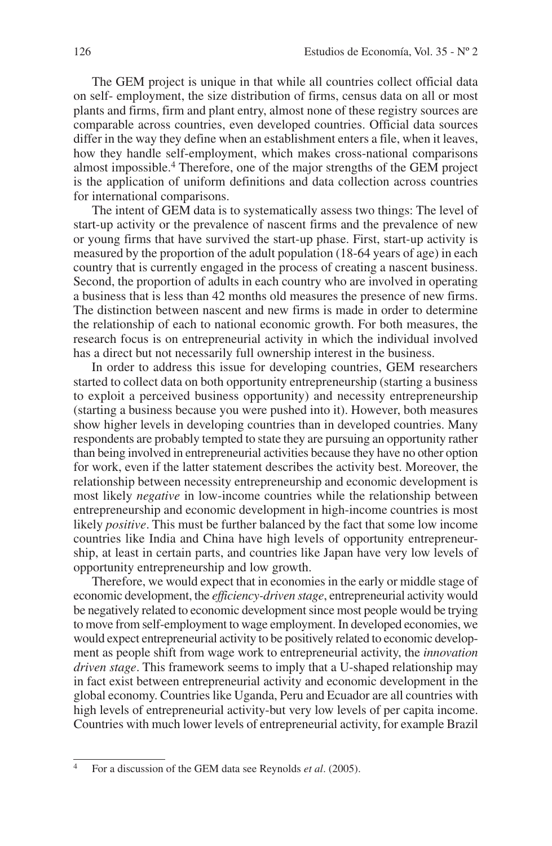The GEM project is unique in that while all countries collect official data on self- employment, the size distribution of firms, census data on all or most plants and firms, firm and plant entry, almost none of these registry sources are comparable across countries, even developed countries. Official data sources differ in the way they define when an establishment enters a file, when it leaves, how they handle self-employment, which makes cross-national comparisons almost impossible.4 Therefore, one of the major strengths of the GEM project is the application of uniform definitions and data collection across countries for international comparisons.

The intent of GEM data is to systematically assess two things: The level of start-up activity or the prevalence of nascent firms and the prevalence of new or young firms that have survived the start-up phase. First, start-up activity is measured by the proportion of the adult population (18-64 years of age) in each country that is currently engaged in the process of creating a nascent business. Second, the proportion of adults in each country who are involved in operating a business that is less than 42 months old measures the presence of new firms. The distinction between nascent and new firms is made in order to determine the relationship of each to national economic growth. For both measures, the research focus is on entrepreneurial activity in which the individual involved has a direct but not necessarily full ownership interest in the business.

In order to address this issue for developing countries, GEM researchers started to collect data on both opportunity entrepreneurship (starting a business to exploit a perceived business opportunity) and necessity entrepreneurship (starting a business because you were pushed into it). However, both measures show higher levels in developing countries than in developed countries. Many respondents are probably tempted to state they are pursuing an opportunity rather than being involved in entrepreneurial activities because they have no other option for work, even if the latter statement describes the activity best. Moreover, the relationship between necessity entrepreneurship and economic development is most likely *negative* in low-income countries while the relationship between entrepreneurship and economic development in high-income countries is most likely *positive*. This must be further balanced by the fact that some low income countries like India and China have high levels of opportunity entrepreneurship, at least in certain parts, and countries like Japan have very low levels of opportunity entrepreneurship and low growth.

Therefore, we would expect that in economies in the early or middle stage of economic development, the *efficiency-driven stage*, entrepreneurial activity would be negatively related to economic development since most people would be trying to move from self-employment to wage employment. In developed economies, we would expect entrepreneurial activity to be positively related to economic development as people shift from wage work to entrepreneurial activity, the *innovation driven stage*. This framework seems to imply that a U-shaped relationship may in fact exist between entrepreneurial activity and economic development in the global economy. Countries like Uganda, Peru and Ecuador are all countries with high levels of entrepreneurial activity-but very low levels of per capita income. Countries with much lower levels of entrepreneurial activity, for example Brazil

<sup>4</sup> For a discussion of the GEM data see Reynolds *et al*. (2005).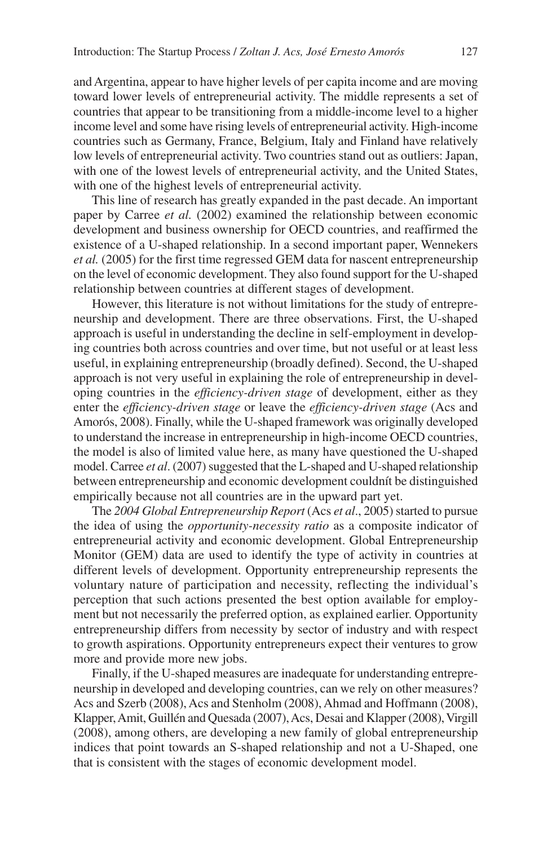andArgentina, appear to have higher levels of per capita income and are moving toward lower levels of entrepreneurial activity. The middle represents a set of countries that appear to be transitioning from a middle-income level to a higher income level and some have rising levels of entrepreneurial activity. High-income countries such as Germany, France, Belgium, Italy and Finland have relatively low levels of entrepreneurial activity. Two countries stand out as outliers: Japan, with one of the lowest levels of entrepreneurial activity, and the United States, with one of the highest levels of entrepreneurial activity.

This line of research has greatly expanded in the past decade. An important paper by Carree *et al.* (2002) examined the relationship between economic development and business ownership for OECD countries, and reaffirmed the existence of a U-shaped relationship. In a second important paper, Wennekers *et al.* (2005) for the first time regressed GEM data for nascent entrepreneurship on the level of economic development. They also found support for the U-shaped relationship between countries at different stages of development.

However, this literature is not without limitations for the study of entrepreneurship and development. There are three observations. First, the U-shaped approach is useful in understanding the decline in self-employment in developing countries both across countries and over time, but not useful or at least less useful, in explaining entrepreneurship (broadly defined). Second, the U-shaped approach is not very useful in explaining the role of entrepreneurship in developing countries in the *efficiency-driven stage* of development, either as they enter the *efficiency-driven stage* or leave the *efficiency-driven stage* (Acs and Amorós, 2008). Finally, while the U-shaped framework was originally developed to understand the increase in entrepreneurship in high-income OECD countries, the model is also of limited value here, as many have questioned the U-shaped model. Carree *et al.* (2007) suggested that the L-shaped and U-shaped relationship between entrepreneurship and economic development couldnít be distinguished empirically because not all countries are in the upward part yet.

The 2004 Global Entrepreneurship Report (Acs et al., 2005) started to pursue the idea of using the *opportunity-necessity ratio* as a composite indicator of entrepreneurial activity and economic development. Global Entrepreneurship Monitor (GEM) data are used to identify the type of activity in countries at different levels of development. Opportunity entrepreneurship represents the voluntary nature of participation and necessity, reflecting the individual's perception that such actions presented the best option available for employment but not necessarily the preferred option, as explained earlier. Opportunity entrepreneurship differs from necessity by sector of industry and with respect to growth aspirations. Opportunity entrepreneurs expect their ventures to grow more and provide more new jobs.

Finally, if the U-shaped measures are inadequate for understanding entrepreneurship in developed and developing countries, can we rely on other measures? Acs and Szerb (2008), Acs and Stenholm (2008), Ahmad and Hoffmann (2008), Klapper, Amit, Guillén and Quesada (2007), Acs, Desai and Klapper (2008), Virgill (2008), among others, are developing a new family of global entrepreneurship indices that point towards an S-shaped relationship and not a U-Shaped, one that is consistent with the stages of economic development model.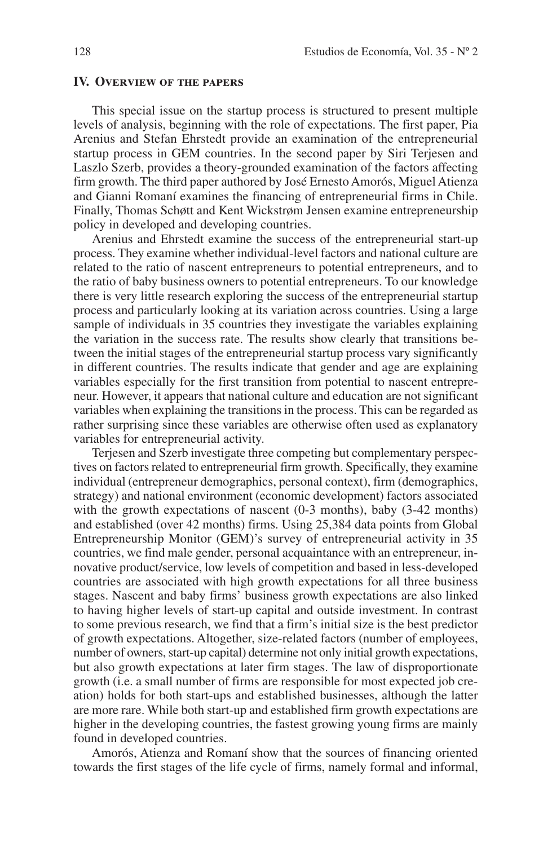### **IV. Overview of the papers**

This special issue on the startup process is structured to present multiple levels of analysis, beginning with the role of expectations. The first paper, Pia Arenius and Stefan Ehrstedt provide an examination of the entrepreneurial startup process in GEM countries. In the second paper by Siri Terjesen and Laszlo Szerb, provides a theory-grounded examination of the factors affecting firm growth. The third paper authored by José Ernesto Amorós, Miguel Atienza and Gianni Romaní examines the financing of entrepreneurial firms in Chile. Finally, Thomas Schøtt and Kent Wickstrøm Jensen examine entrepreneurship policy in developed and developing countries.

Arenius and Ehrstedt examine the success of the entrepreneurial start-up process. They examine whether individual-level factors and national culture are related to the ratio of nascent entrepreneurs to potential entrepreneurs, and to the ratio of baby business owners to potential entrepreneurs. To our knowledge there is very little research exploring the success of the entrepreneurial startup process and particularly looking at its variation across countries. Using a large sample of individuals in 35 countries they investigate the variables explaining the variation in the success rate. The results show clearly that transitions between the initial stages of the entrepreneurial startup process vary significantly in different countries. The results indicate that gender and age are explaining variables especially for the first transition from potential to nascent entrepreneur. However, it appears that national culture and education are not significant variables when explaining the transitions in the process. This can be regarded as rather surprising since these variables are otherwise often used as explanatory variables for entrepreneurial activity.

Terjesen and Szerb investigate three competing but complementary perspectives on factors related to entrepreneurial firm growth. Specifically, they examine individual (entrepreneur demographics, personal context), firm (demographics, strategy) and national environment (economic development) factors associated with the growth expectations of nascent (0-3 months), baby (3-42 months) and established (over 42 months) firms. Using 25,384 data points from Global Entrepreneurship Monitor (GEM)'s survey of entrepreneurial activity in 35 countries, we find male gender, personal acquaintance with an entrepreneur, innovative product/service, low levels of competition and based in less-developed countries are associated with high growth expectations for all three business stages. Nascent and baby firms' business growth expectations are also linked to having higher levels of start-up capital and outside investment. In contrast to some previous research, we find that a firm's initial size is the best predictor of growth expectations. Altogether, size-related factors (number of employees, number of owners, start-up capital) determine not only initial growth expectations, but also growth expectations at later firm stages. The law of disproportionate growth (i.e. a small number of firms are responsible for most expected job creation) holds for both start-ups and established businesses, although the latter are more rare. While both start-up and established firm growth expectations are higher in the developing countries, the fastest growing young firms are mainly found in developed countries.

Amorós, Atienza and Romaní show that the sources of financing oriented towards the first stages of the life cycle of firms, namely formal and informal,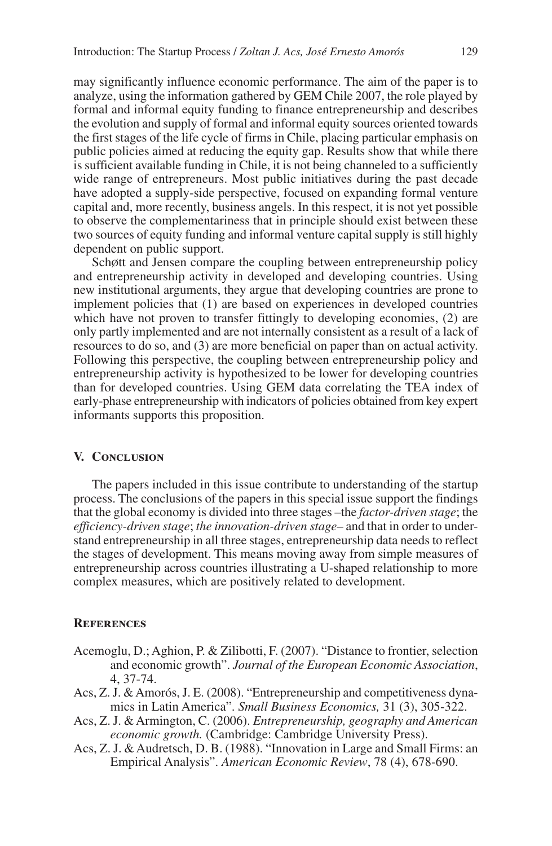may significantly influence economic performance. The aim of the paper is to analyze, using the information gathered by GEM Chile 2007, the role played by formal and informal equity funding to finance entrepreneurship and describes the evolution and supply of formal and informal equity sources oriented towards the first stages of the life cycle of firms in Chile, placing particular emphasis on public policies aimed at reducing the equity gap. Results show that while there is sufficient available funding in Chile, it is not being channeled to a sufficiently wide range of entrepreneurs. Most public initiatives during the past decade have adopted a supply-side perspective, focused on expanding formal venture capital and, more recently, business angels. In this respect, it is not yet possible to observe the complementariness that in principle should exist between these two sources of equity funding and informal venture capital supply is still highly dependent on public support.

Schøtt and Jensen compare the coupling between entrepreneurship policy and entrepreneurship activity in developed and developing countries. Using new institutional arguments, they argue that developing countries are prone to implement policies that (1) are based on experiences in developed countries which have not proven to transfer fittingly to developing economies, (2) are only partly implemented and are not internally consistent as a result of a lack of resources to do so, and (3) are more beneficial on paper than on actual activity. Following this perspective, the coupling between entrepreneurship policy and entrepreneurship activity is hypothesized to be lower for developing countries than for developed countries. Using GEM data correlating the TEA index of early-phase entrepreneurship with indicators of policies obtained from key expert informants supports this proposition.

#### **V. Conclusion**

The papers included in this issue contribute to understanding of the startup process. The conclusions of the papers in this special issue support the findings that the global economy is divided into three stages –the *factor-driven stage*; the *efficiency-driven stage*; *the innovation-driven stage–* and that in order to understand entrepreneurship in all three stages, entrepreneurship data needs to reflect the stages of development. This means moving away from simple measures of entrepreneurship across countries illustrating a U-shaped relationship to more complex measures, which are positively related to development.

#### **References**

- Acemoglu, D.; Aghion, P. & Zilibotti, F. (2007). "Distance to frontier, selection and economic growth". *Journal of the European Economic Association*, 4, 37-74.
- Acs, Z.J. & Amorós, J.E. (2008). "Entrepreneurship and competitiveness dynamics in Latin America". *Small Business Economics,* 31 (3), 305-322.
- Acs, Z. J. &Armington, C. (2006). *Entrepreneurship, geography and American economic growth.* (Cambridge: Cambridge University Press).
- Acs, Z. J. & Audretsch, D. B. (1988). "Innovation in Large and Small Firms: an Empirical Analysis". *American Economic Review*, 78 (4), 678-690.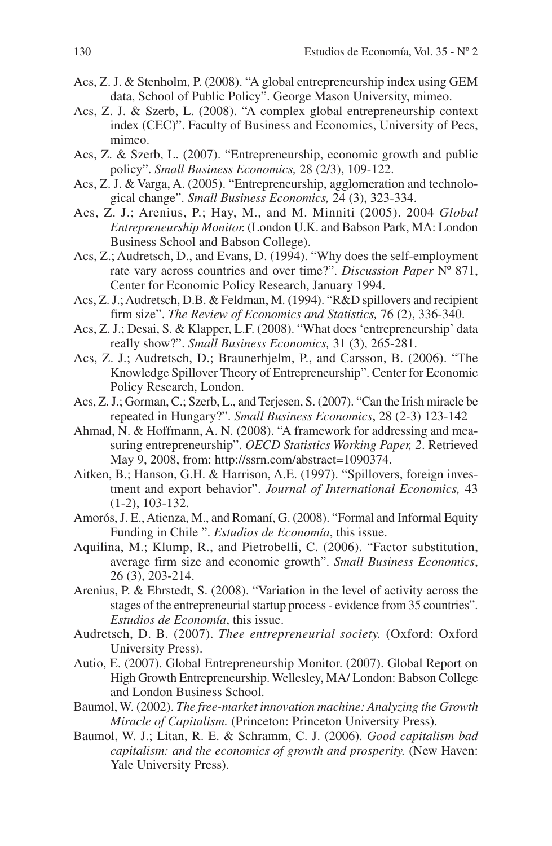- Acs, Z. J. & Stenholm, P. (2008). "A global entrepreneurship index using GEM data, School of Public Policy". George Mason University, mimeo.
- Acs, Z. J. & Szerb, L. (2008). "A complex global entrepreneurship context index (CEC)". Faculty of Business and Economics, University of Pecs, mimeo.
- Acs, Z. & Szerb, L. (2007). "Entrepreneurship, economic growth and public policy". *Small Business Economics,* 28 (2/3), 109-122.
- Acs, Z. J. & Varga, A. (2005). "Entrepreneurship, agglomeration and technological change". *Small Business Economics,* 24 (3), 323-334.
- Acs, Z. J.; Arenius, P.; Hay, M., and M. Minniti (2005). 2004 *Global Entrepreneurship Monitor.* (London U.K. and Babson Park, MA: London Business School and Babson College).
- Acs, Z.; Audretsch, D., and Evans, D. (1994). "Why does the self-employment rate vary across countries and over time?". *Discussion Paper* Nº 871, Center for Economic Policy Research, January 1994.
- Acs, Z.J.;Audretsch, D.B. & Feldman, M. (1994). "R&D spillovers and recipient firm size". *The Review of Economics and Statistics,* 76 (2), 336-340.
- Acs, Z.J.; Desai, S. & Klapper, L.F. (2008). "What does'entrepreneurship' data really show?". *Small Business Economics,* 31 (3), 265-281.
- Acs, Z. J.; Audretsch, D.; Braunerhjelm, P., and Carsson, B. (2006). "The Knowledge Spillover Theory of Entrepreneurship". Center for Economic Policy Research, London.
- Acs, Z.J.; Gorman, C.; Szerb, L., and Terjesen, S. (2007). "Can the Irish miracle be repeated in Hungary?". *Small Business Economics*, 28 (2-3) 123-142
- Ahmad, N. & Hoffmann, A. N. (2008). "A framework for addressing and measuring entrepreneurship". *OECD Statistics Working Paper, 2*. Retrieved May 9, 2008, from: http://ssrn.com/abstract=1090374.
- Aitken, B.; Hanson, G.H. & Harrison, A.E. (1997). "Spillovers, foreign investment and export behavior". *Journal of International Economics,* 43 (1-2), 103-132.
- Amorós,J. E.,Atienza, M., and Romaní, G. (2008). "Formal and Informal Equity Funding in Chile ". *Estudios de Economía*, this issue.
- Aquilina, M.; Klump, R., and Pietrobelli, C. (2006). "Factor substitution, average firm size and economic growth". *Small Business Economics*, 26 (3), 203-214.
- Arenius, P. & Ehrstedt, S. (2008). "Variation in the level of activity across the stages of the entrepreneurial startup process - evidence from 35 countries". *Estudios de Economía*, this issue.
- Audretsch, D. B. (2007). *Thee entrepreneurial society.* (Oxford: Oxford University Press).
- Autio, E. (2007). Global Entrepreneurship Monitor. (2007). Global Report on High Growth Entrepreneurship. Wellesley, MA/ London: Babson College and London Business School.
- Baumol, W. (2002). *The free-market innovation machine: Analyzing the Growth Miracle of Capitalism.* (Princeton: Princeton University Press).
- Baumol, W. J.; Litan, R. E. & Schramm, C. J. (2006). *Good capitalism bad capitalism: and the economics of growth and prosperity.* (New Haven: Yale University Press).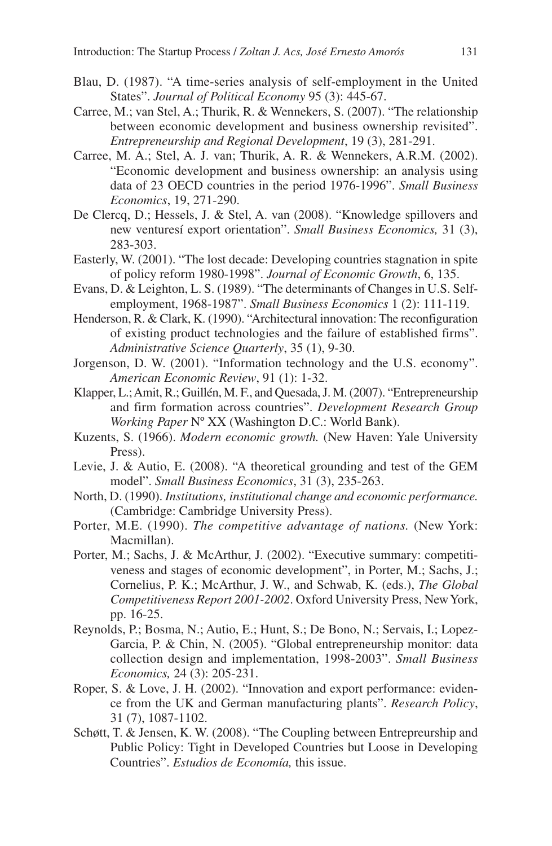- Blau, D. (1987). "A time-series analysis of self-employment in the United States". *Journal of Political Economy* 95 (3): 445-67.
- Carree, M.; van Stel, A.; Thurik, R. & Wennekers, S. (2007). "The relationship between economic development and business ownership revisited". *Entrepreneurship and Regional Development*, 19 (3), 281-291.
- Carree, M. A.; Stel, A. J. van; Thurik, A. R. & Wennekers, A.R.M. (2002). "Economic development and business ownership: an analysis using data of 23 OECD countries in the period 1976-1996". *Small Business Economics*, 19, 271-290.
- De Clercq, D.; Hessels, J. & Stel, A. van (2008). "Knowledge spillovers and new venturesí export orientation". *Small Business Economics,* 31 (3), 283-303.
- Easterly, W. (2001). "The lost decade: Developing countries stagnation in spite of policy reform 1980-1998". *Journal of Economic Growth*, 6, 135.
- Evans, D. & Leighton, L. S. (1989). "The determinants of Changes in U.S. Selfemployment, 1968-1987". *Small Business Economics* 1 (2): 111-119.
- Henderson, R. & Clark, K. (1990). "Architectural innovation: The reconfiguration of existing product technologies and the failure of established firms". *Administrative Science Quarterly*, 35 (1), 9-30.
- Jorgenson, D. W. (2001). "Information technology and the U.S. economy". *American Economic Review*, 91 (1): 1-32.
- Klapper, L.;Amit,R.; Guillén, M. F., and Quesada,J. M.(2007). "Entrepreneurship and firm formation across countries". *Development Research Group Working Paper* Nº XX (Washington D.C.: World Bank).
- Kuzents, S. (1966). *Modern economic growth.* (New Haven: Yale University Press).
- Levie, J. & Autio, E. (2008). "A theoretical grounding and test of the GEM model". *Small Business Economics*, 31 (3), 235-263.
- North, D. (1990). *Institutions, institutional change and economic performance.* (Cambridge: Cambridge University Press).
- Porter, M.E. (1990). *The competitive advantage of nations.* (New York: Macmillan).
- Porter, M.; Sachs, J. & McArthur, J. (2002). "Executive summary: competitiveness and stages of economic development", in Porter, M.; Sachs, J.; Cornelius, P. K.; McArthur, J. W., and Schwab, K. (eds.), *The Global Competitiveness Report 2001-2002*. Oxford University Press, NewYork, pp. 16-25.
- Reynolds, P.; Bosma, N.; Autio, E.; Hunt, S.; De Bono, N.; Servais, I.; Lopez-Garcia, P. & Chin, N. (2005). "Global entrepreneurship monitor: data collection design and implementation, 1998-2003". *Small Business Economics,* 24 (3): 205-231.
- Roper, S. & Love, J. H. (2002). "Innovation and export performance: evidence from the UK and German manufacturing plants". *Research Policy*, 31 (7), 1087-1102.
- Schøtt, T. & Jensen, K. W. (2008). "The Coupling between Entrepreurship and Public Policy: Tight in Developed Countries but Loose in Developing Countries". *Estudios de Economía,* this issue.